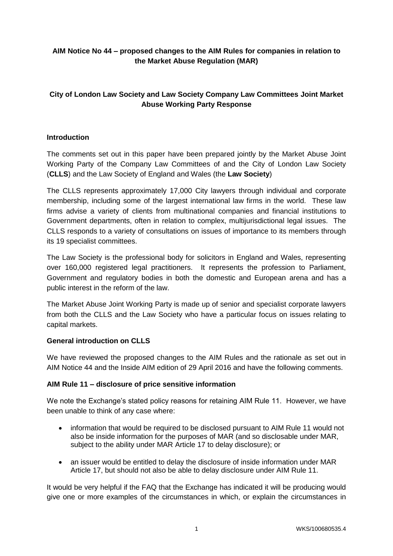### **AIM Notice No 44 – proposed changes to the AIM Rules for companies in relation to the Market Abuse Regulation (MAR)**

# **City of London Law Society and Law Society Company Law Committees Joint Market Abuse Working Party Response**

### **Introduction**

The comments set out in this paper have been prepared jointly by the Market Abuse Joint Working Party of the Company Law Committees of and the City of London Law Society (**CLLS**) and the Law Society of England and Wales (the **Law Society**)

The CLLS represents approximately 17,000 City lawyers through individual and corporate membership, including some of the largest international law firms in the world. These law firms advise a variety of clients from multinational companies and financial institutions to Government departments, often in relation to complex, multijurisdictional legal issues. The CLLS responds to a variety of consultations on issues of importance to its members through its 19 specialist committees.

The Law Society is the professional body for solicitors in England and Wales, representing over 160,000 registered legal practitioners. It represents the profession to Parliament, Government and regulatory bodies in both the domestic and European arena and has a public interest in the reform of the law.

The Market Abuse Joint Working Party is made up of senior and specialist corporate lawyers from both the CLLS and the Law Society who have a particular focus on issues relating to capital markets.

#### **General introduction on CLLS**

We have reviewed the proposed changes to the AIM Rules and the rationale as set out in AIM Notice 44 and the Inside AIM edition of 29 April 2016 and have the following comments.

#### **AIM Rule 11 – disclosure of price sensitive information**

We note the Exchange's stated policy reasons for retaining AIM Rule 11. However, we have been unable to think of any case where:

- information that would be required to be disclosed pursuant to AIM Rule 11 would not also be inside information for the purposes of MAR (and so disclosable under MAR, subject to the ability under MAR Article 17 to delay disclosure); or
- an issuer would be entitled to delay the disclosure of inside information under MAR Article 17, but should not also be able to delay disclosure under AIM Rule 11.

It would be very helpful if the FAQ that the Exchange has indicated it will be producing would give one or more examples of the circumstances in which, or explain the circumstances in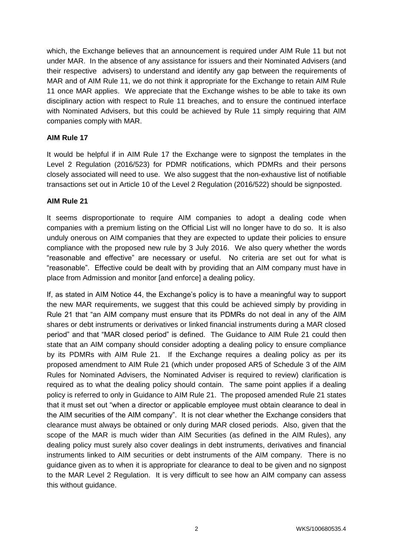which, the Exchange believes that an announcement is required under AIM Rule 11 but not under MAR. In the absence of any assistance for issuers and their Nominated Advisers (and their respective advisers) to understand and identify any gap between the requirements of MAR and of AIM Rule 11, we do not think it appropriate for the Exchange to retain AIM Rule 11 once MAR applies. We appreciate that the Exchange wishes to be able to take its own disciplinary action with respect to Rule 11 breaches, and to ensure the continued interface with Nominated Advisers, but this could be achieved by Rule 11 simply requiring that AIM companies comply with MAR.

#### **AIM Rule 17**

It would be helpful if in AIM Rule 17 the Exchange were to signpost the templates in the Level 2 Regulation (2016/523) for PDMR notifications, which PDMRs and their persons closely associated will need to use. We also suggest that the non-exhaustive list of notifiable transactions set out in Article 10 of the Level 2 Regulation (2016/522) should be signposted.

#### **AIM Rule 21**

It seems disproportionate to require AIM companies to adopt a dealing code when companies with a premium listing on the Official List will no longer have to do so. It is also unduly onerous on AIM companies that they are expected to update their policies to ensure compliance with the proposed new rule by 3 July 2016. We also query whether the words "reasonable and effective" are necessary or useful. No criteria are set out for what is "reasonable". Effective could be dealt with by providing that an AIM company must have in place from Admission and monitor [and enforce] a dealing policy.

If, as stated in AIM Notice 44, the Exchange's policy is to have a meaningful way to support the new MAR requirements, we suggest that this could be achieved simply by providing in Rule 21 that "an AIM company must ensure that its PDMRs do not deal in any of the AIM shares or debt instruments or derivatives or linked financial instruments during a MAR closed period" and that "MAR closed period" is defined. The Guidance to AIM Rule 21 could then state that an AIM company should consider adopting a dealing policy to ensure compliance by its PDMRs with AIM Rule 21. If the Exchange requires a dealing policy as per its proposed amendment to AIM Rule 21 (which under proposed AR5 of Schedule 3 of the AIM Rules for Nominated Advisers, the Nominated Adviser is required to review) clarification is required as to what the dealing policy should contain. The same point applies if a dealing policy is referred to only in Guidance to AIM Rule 21. The proposed amended Rule 21 states that it must set out "when a director or applicable employee must obtain clearance to deal in the AIM securities of the AIM company". It is not clear whether the Exchange considers that clearance must always be obtained or only during MAR closed periods. Also, given that the scope of the MAR is much wider than AIM Securities (as defined in the AIM Rules), any dealing policy must surely also cover dealings in debt instruments, derivatives and financial instruments linked to AIM securities or debt instruments of the AIM company. There is no guidance given as to when it is appropriate for clearance to deal to be given and no signpost to the MAR Level 2 Regulation. It is very difficult to see how an AIM company can assess this without guidance.